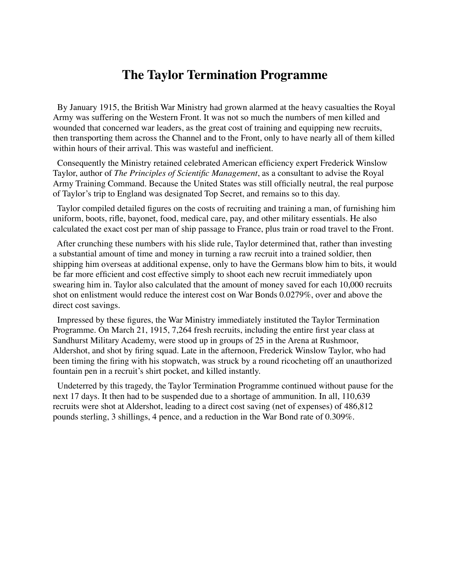## **The Taylor Termination Programme**

 By January 1915, the British War Ministry had grown alarmed at the heavy casualties the Royal Army was suffering on the Western Front. It was not so much the numbers of men killed and wounded that concerned war leaders, as the great cost of training and equipping new recruits, then transporting them across the Channel and to the Front, only to have nearly all of them killed within hours of their arrival. This was wasteful and inefficient.

 Consequently the Ministry retained celebrated American efficiency expert Frederick Winslow Taylor, author of *The Principles of Scientific Management*, as a consultant to advise the Royal Army Training Command. Because the United States was still officially neutral, the real purpose of Taylor's trip to England was designated Top Secret, and remains so to this day.

 Taylor compiled detailed figures on the costs of recruiting and training a man, of furnishing him uniform, boots, rifle, bayonet, food, medical care, pay, and other military essentials. He also calculated the exact cost per man of ship passage to France, plus train or road travel to the Front.

 After crunching these numbers with his slide rule, Taylor determined that, rather than investing a substantial amount of time and money in turning a raw recruit into a trained soldier, then shipping him overseas at additional expense, only to have the Germans blow him to bits, it would be far more efficient and cost effective simply to shoot each new recruit immediately upon swearing him in. Taylor also calculated that the amount of money saved for each 10,000 recruits shot on enlistment would reduce the interest cost on War Bonds 0.0279%, over and above the direct cost savings.

 Impressed by these figures, the War Ministry immediately instituted the Taylor Termination Programme. On March 21, 1915, 7,264 fresh recruits, including the entire first year class at Sandhurst Military Academy, were stood up in groups of 25 in the Arena at Rushmoor, Aldershot, and shot by firing squad. Late in the afternoon, Frederick Winslow Taylor, who had been timing the firing with his stopwatch, was struck by a round ricocheting off an unauthorized fountain pen in a recruit's shirt pocket, and killed instantly.

 Undeterred by this tragedy, the Taylor Termination Programme continued without pause for the next 17 days. It then had to be suspended due to a shortage of ammunition. In all, 110,639 recruits were shot at Aldershot, leading to a direct cost saving (net of expenses) of 486,812 pounds sterling, 3 shillings, 4 pence, and a reduction in the War Bond rate of 0.309%.